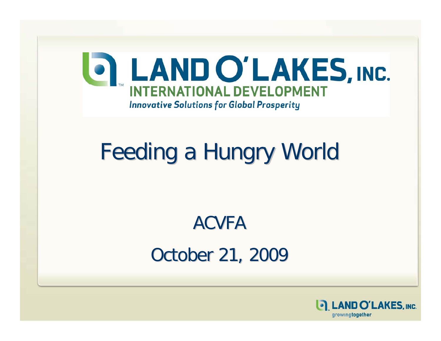

# Feeding a Hungry World Feeding a Hungry World

### ACVFAOctober 21, 2009

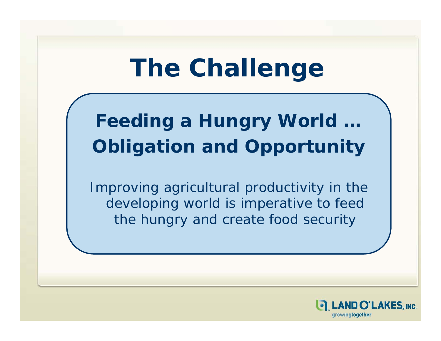# **The Challenge**

### **Feeding a Hungry World …**  *Obligation and Opportunity*

Improving agricultural productivity in the developing world is imperative to feed the hungry and create food security

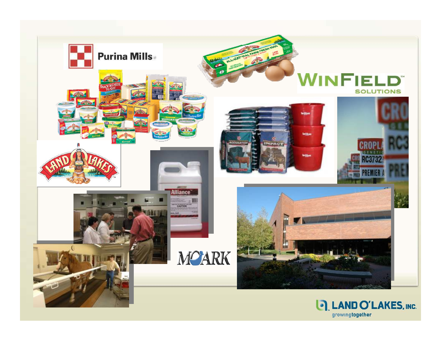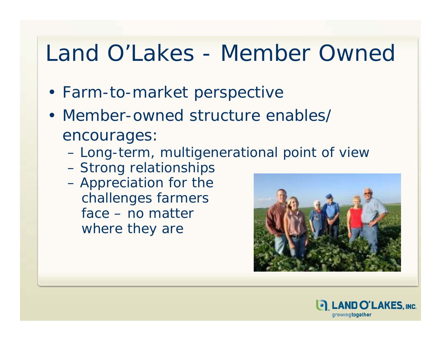### Land O'Lakes - Member Owned

- Farm-to-market perspective
- Member-owned structure enables/ encourages:
	- Long-term, multigenerational point of view
	- Strong relationships
	- Appreciation for the challenges farmers face – no matter where they are



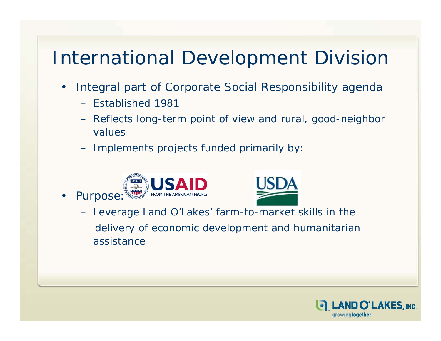#### International Development Division

- Integral part of Corporate Social Responsibility agenda
	- Established 1981

 $\bullet$ 

- Reflects long-term point of view and rural, good-neighbor values
- Implements projects funded primarily by:





– Lever a ge Lan d O'Lakes' farm-to-ma r ket skills in the delivery of economic development and humanitarian assistance

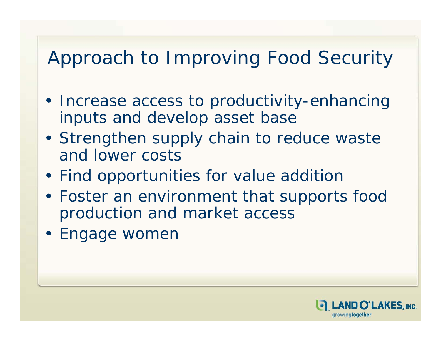#### Approach to Improving Food Security

- Increase access to productivity-enhancing inputs and develop asset base
- Strengthen supply chain to reduce waste and lower costs
- Find opportunities for value addition
- Foster an environment that supports food production and market access
- Engage women

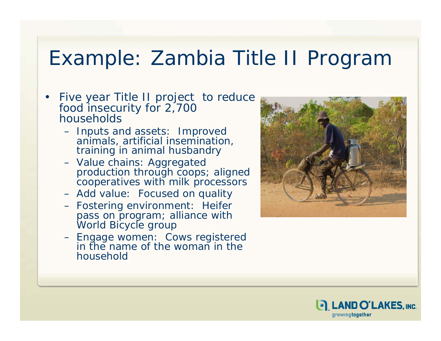#### Example: Zambia Title II Program

- • Five year Title II project to reduce food insecurity for 2,700 households
	- Inputs and assets: Improved animals, artificial insemination, training in animal husbandry
	- Value chains: Aggregated production through coops; aligned cooperatives with milk processors
	- Add value: Focused on quality
	- Fostering environment: Heifer pass on program; alliance with World Bicycle grou p
	- Engage women: Cows registered in the name of the woman in the household



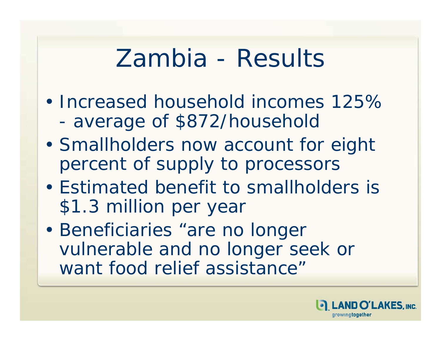## Zambia - Results

- Increased household incomes 125% average of \$872/household
- Smallholders now account for eight percent of supply to processors
- Estimated benefit to smallholders is \$1.3 million per year
- Beneficiaries "are no longer vulnerable and no longer seek or want food relief assistance"

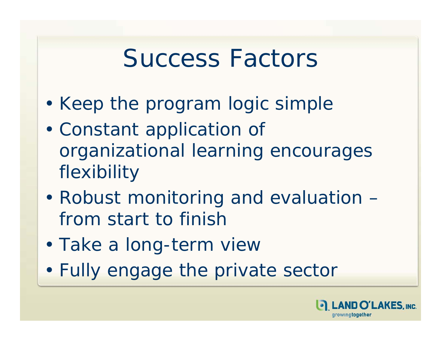## Success Factors

- Keep the program logic simple
- Constant application of organizational learning encourages flexibility
- Robust monitoring and evaluation from start to finish
- Take a long-term view
- Fully engage the private sector

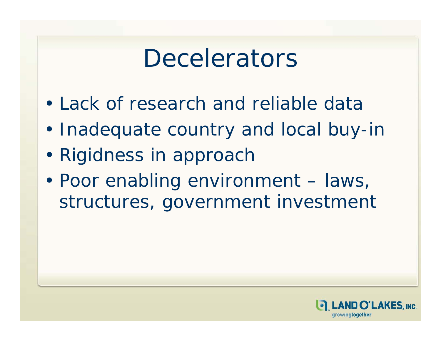## **Decelerators**

- Lack of research and reliable data
- Inadequate country and local buy-in
- Rigidness in approach
- Poor enabling environment laws, structures, government investment

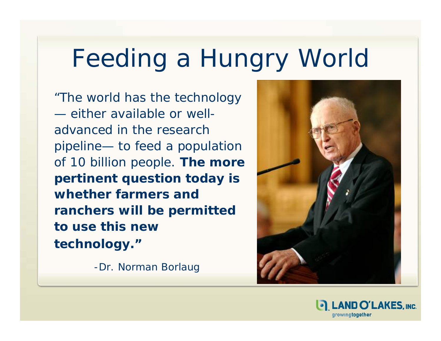# Feeding a Hungry World

"The world has the technology — either available or welladvanced in the research pipeline— to feed a population of 10 billion people. *The more pertinent question today is whether farmers and ranchers will be permitted to use this new technology."* 

-Dr. Norman Borlaug